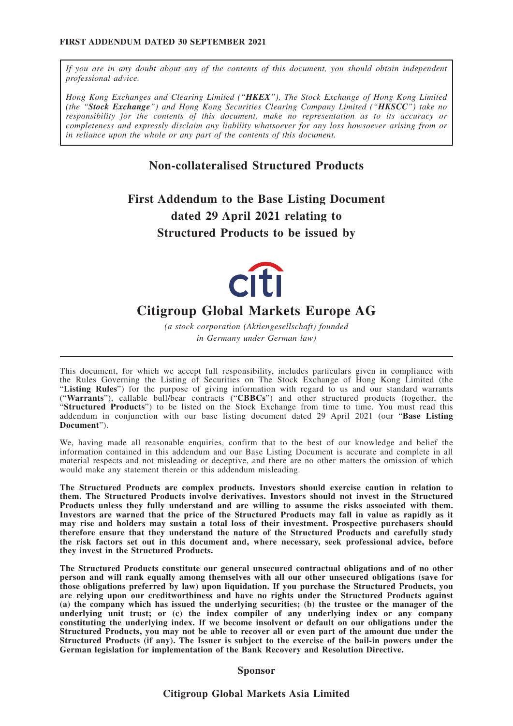*If you are in any doubt about any of the contents of this document, you should obtain independent professional advice.*

*Hong Kong Exchanges and Clearing Limited ("HKEX"), The Stock Exchange of Hong Kong Limited (the "Stock Exchange") and Hong Kong Securities Clearing Company Limited ("HKSCC") take no responsibility for the contents of this document, make no representation as to its accuracy or completeness and expressly disclaim any liability whatsoever for any loss howsoever arising from or in reliance upon the whole or any part of the contents of this document.*

# **Non-collateralised Structured Products**

**First Addendum to the Base Listing Document dated 29 April 2021 relating to Structured Products to be issued by**



# **Citigroup Global Markets Europe AG**

*(a stock corporation (Aktiengesellschaft) founded in Germany under German law)*

This document, for which we accept full responsibility, includes particulars given in compliance with the Rules Governing the Listing of Securities on The Stock Exchange of Hong Kong Limited (the "**Listing Rules**") for the purpose of giving information with regard to us and our standard warrants ("**Warrants**"), callable bull/bear contracts ("**CBBCs**") and other structured products (together, the "**Structured Products**") to be listed on the Stock Exchange from time to time. You must read this addendum in conjunction with our base listing document dated 29 April 2021 (our "**Base Listing Document**").

We, having made all reasonable enquiries, confirm that to the best of our knowledge and belief the information contained in this addendum and our Base Listing Document is accurate and complete in all material respects and not misleading or deceptive, and there are no other matters the omission of which would make any statement therein or this addendum misleading.

**The Structured Products are complex products. Investors should exercise caution in relation to them. The Structured Products involve derivatives. Investors should not invest in the Structured Products unless they fully understand and are willing to assume the risks associated with them. Investors are warned that the price of the Structured Products may fall in value as rapidly as it may rise and holders may sustain a total loss of their investment. Prospective purchasers should therefore ensure that they understand the nature of the Structured Products and carefully study the risk factors set out in this document and, where necessary, seek professional advice, before they invest in the Structured Products.**

**The Structured Products constitute our general unsecured contractual obligations and of no other person and will rank equally among themselves with all our other unsecured obligations (save for those obligations preferred by law) upon liquidation. If you purchase the Structured Products, you are relying upon our creditworthiness and have no rights under the Structured Products against (a) the company which has issued the underlying securities; (b) the trustee or the manager of the underlying unit trust; or (c) the index compiler of any underlying index or any company constituting the underlying index. If we become insolvent or default on our obligations under the Structured Products, you may not be able to recover all or even part of the amount due under the Structured Products (if any). The Issuer is subject to the exercise of the bail-in powers under the German legislation for implementation of the Bank Recovery and Resolution Directive.**

#### **Sponsor**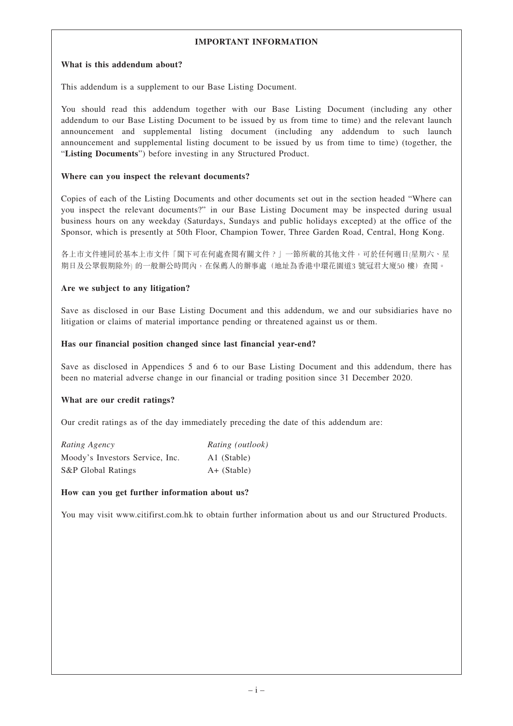# **IMPORTANT INFORMATION**

#### **What is this addendum about?**

This addendum is a supplement to our Base Listing Document.

You should read this addendum together with our Base Listing Document (including any other addendum to our Base Listing Document to be issued by us from time to time) and the relevant launch announcement and supplemental listing document (including any addendum to such launch announcement and supplemental listing document to be issued by us from time to time) (together, the "**Listing Documents**") before investing in any Structured Product.

#### **Where can you inspect the relevant documents?**

Copies of each of the Listing Documents and other documents set out in the section headed "Where can you inspect the relevant documents?" in our Base Listing Document may be inspected during usual business hours on any weekday (Saturdays, Sundays and public holidays excepted) at the office of the Sponsor, which is presently at 50th Floor, Champion Tower, Three Garden Road, Central, Hong Kong.

各上市文件連同於基本上市文件「閣下可在何處查閱有關文件?」一節所載的其他文件,可於任何週日(星期六、星 期日及公眾假期除外) 的一般辦公時間內,在保薦人的辦事處(地址為香港中環花園道3 號冠君大廈50 樓) 查閱。

## **Are we subject to any litigation?**

Save as disclosed in our Base Listing Document and this addendum, we and our subsidiaries have no litigation or claims of material importance pending or threatened against us or them.

## **Has our financial position changed since last financial year-end?**

Save as disclosed in Appendices 5 and 6 to our Base Listing Document and this addendum, there has been no material adverse change in our financial or trading position since 31 December 2020.

## **What are our credit ratings?**

Our credit ratings as of the day immediately preceding the date of this addendum are:

| Rating Agency                   | Rating (outlook) |
|---------------------------------|------------------|
| Moody's Investors Service, Inc. | A1 (Stable)      |
| S&P Global Ratings              | $A+$ (Stable)    |

## **How can you get further information about us?**

You may visit www.citifirst.com.hk to obtain further information about us and our Structured Products.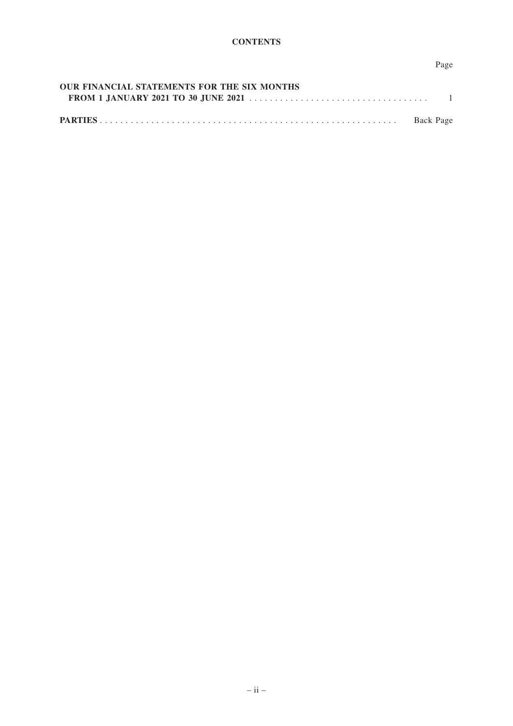# Page

| <b>OUR FINANCIAL STATEMENTS FOR THE SIX MONTHS</b> |  |
|----------------------------------------------------|--|
|                                                    |  |
|                                                    |  |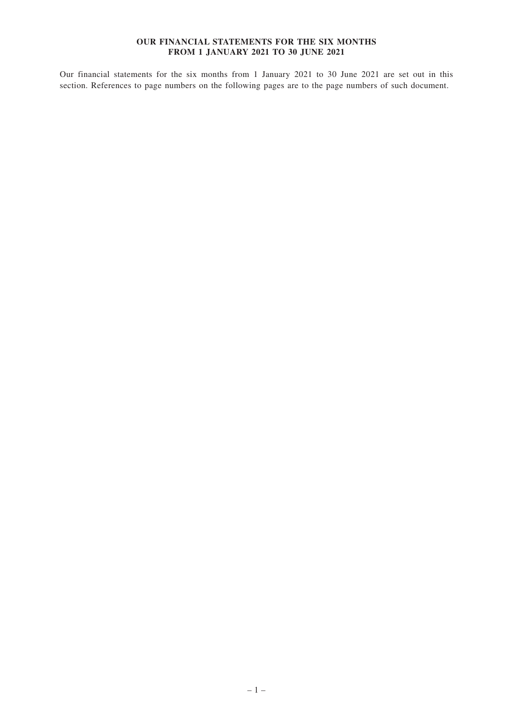#### **OUR FINANCIAL STATEMENTS FOR THE SIX MONTHS FROM 1 JANUARY 2021 TO 30 JUNE 2021**

Our financial statements for the six months from 1 January 2021 to 30 June 2021 are set out in this section. References to page numbers on the following pages are to the page numbers of such document.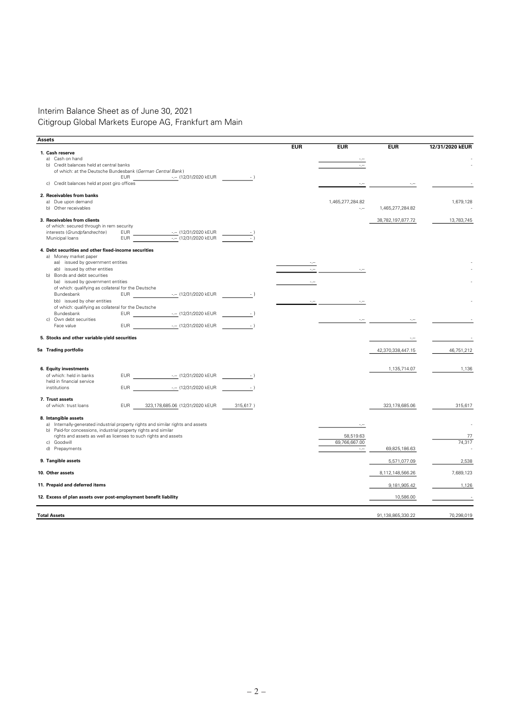# Interim Balance Sheet as of June 30, 2021 Citigroup Global Markets Europe AG, Frankfurt am Main

| Assets                                                                           |                                                |          |            |                  |                   |                 |
|----------------------------------------------------------------------------------|------------------------------------------------|----------|------------|------------------|-------------------|-----------------|
|                                                                                  |                                                |          | <b>EUR</b> | <b>EUR</b>       | <b>EUR</b>        | 12/31/2020 kEUR |
| 1. Cash reserve                                                                  |                                                |          |            |                  |                   |                 |
| a) Cash on hand<br>b) Credit balances held at central banks                      |                                                |          |            |                  |                   |                 |
| of which: at the Deutsche Bundesbank (German Central Bank)                       |                                                |          |            |                  |                   |                 |
| <b>EUR</b>                                                                       | -.- (12/31/2020 kEUR                           | $-1$     |            |                  |                   |                 |
| c) Credit balances held at post giro offices                                     |                                                |          |            |                  |                   |                 |
| 2. Receivables from banks                                                        |                                                |          |            |                  |                   |                 |
| a) Due upon demand                                                               |                                                |          |            | 1,465,277,284.82 |                   | 1,679,128       |
| b) Other receivables                                                             |                                                |          |            | در د             | 1,465,277,284.82  |                 |
| 3. Receivables from clients                                                      |                                                |          |            |                  | 38,782,197,877.72 | 13,783,745      |
| of which: secured through in rem security                                        |                                                |          |            |                  |                   |                 |
| interests (Grundpfandrechte)<br>EUR                                              | ---- (12/31/2020 kEUR<br>---- (12/31/2020 kEUR |          |            |                  |                   |                 |
| Municipal loans<br><b>EUR</b>                                                    |                                                |          |            |                  |                   |                 |
| 4. Debt securities and other fixed-income securities                             |                                                |          |            |                  |                   |                 |
| a) Money market paper                                                            |                                                |          |            |                  |                   |                 |
| aa) issued by government entities                                                |                                                |          |            |                  |                   |                 |
| ab) issued by other entities                                                     |                                                |          |            |                  |                   |                 |
| b) Bonds and debt securities<br>ba) issued by government entities                |                                                |          | $\sim$     |                  |                   |                 |
| of which: qualifying as collateral for the Deutsche                              |                                                |          |            |                  |                   |                 |
| Bundesbank<br><b>EUR</b>                                                         | -.- (12/31/2020 kEUR                           | $-$ )    |            |                  |                   |                 |
| bb) issued by oher entities                                                      |                                                |          |            |                  |                   |                 |
| of which: qualifying as collateral for the Deutsche                              |                                                |          |            |                  |                   |                 |
| Bundesbank                                                                       |                                                |          |            |                  |                   |                 |
| Own debt securities<br>C)                                                        |                                                |          |            |                  |                   |                 |
| --- (12/31/2020 kEUR<br>Face value<br><b>EUR</b>                                 |                                                | $-$ )    |            |                  |                   |                 |
| 5. Stocks and other variable-yield securities                                    |                                                |          |            |                  |                   |                 |
| 5a Trading portfolio                                                             |                                                |          |            |                  | 42,370,338,447.15 | 46,751,212      |
|                                                                                  |                                                |          |            |                  |                   |                 |
| 6. Equity investments                                                            |                                                |          |            |                  | 1,135,714.07      | 1,136           |
| -.-- (12/31/2020 kEUR<br>of which: held in banks<br>EUR                          |                                                | $-$ )    |            |                  |                   |                 |
| held in financial service                                                        |                                                |          |            |                  |                   |                 |
| EUR<br>institutions                                                              | -.-- (12/31/2020 kEUR                          | $-$ )    |            |                  |                   |                 |
| 7. Trust assets                                                                  |                                                |          |            |                  |                   |                 |
| of which: trust loans<br>323,178,685.06 (12/31/2020 kEUR<br><b>EUR</b>           |                                                | 315,617) |            |                  | 323,178,685.06    | 315,617         |
| 8. Intangible assets                                                             |                                                |          |            |                  |                   |                 |
| a) Internally-generated industrial property rights and similar rights and assets |                                                |          |            |                  |                   |                 |
| b) Paid-for concessions, industrial property rights and similar                  |                                                |          |            |                  |                   |                 |
| rights and assets as well as licenses to such rights and assets                  |                                                |          |            | 58,519.63        |                   | 77              |
| Goodwill<br>c)                                                                   |                                                |          |            | 69,766,667.00    |                   | 74,317          |
| d) Prepayments                                                                   |                                                |          |            | $\sim$           | 69,825,186.63     |                 |
| 9. Tangible assets                                                               |                                                |          |            |                  | 5,571,077.09      | 2,538           |
| 10. Other assets                                                                 |                                                |          |            |                  | 8,112,148,566.26  | 7,689,123       |
| 11. Prepaid and deferred items                                                   |                                                |          |            |                  | 9,181,905.42      | 1,126           |
| 12. Excess of plan assets over post-employment benefit liability                 |                                                |          |            |                  | 10,586.00         |                 |
|                                                                                  |                                                |          |            |                  |                   |                 |
| <b>Total Assets</b>                                                              |                                                |          |            |                  | 91,138,865,330.22 | 70,298,019      |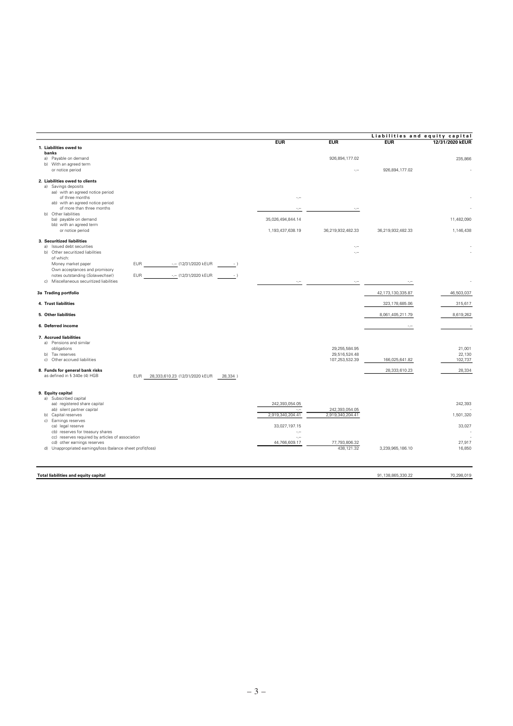|                                                                                                                               |                            |                                | Liabilities and equity capital |                  |
|-------------------------------------------------------------------------------------------------------------------------------|----------------------------|--------------------------------|--------------------------------|------------------|
|                                                                                                                               | <b>FUR</b>                 | <b>EUR</b>                     | <b>EUR</b>                     | 12/31/2020 kEUR  |
| 1. Liabilities owed to<br>banks<br>Payable on demand<br>a)<br>b) With an agreed term                                          |                            | 926,894,177.02                 |                                | 235,866          |
| or notice period                                                                                                              |                            |                                | 926,894,177.02                 |                  |
| 2. Liabilities owed to clients<br>a) Savings deposits<br>aa) with an agreed notice period                                     |                            |                                |                                |                  |
| of three months<br>ab) with an agreed notice period<br>of more than three months                                              | -,--                       | $\sim$                         |                                |                  |
| Other liabilities<br>b)<br>ba) payable on demand                                                                              | 35,026,494,844.14          |                                |                                | 11,482,090       |
| bb) with an agreed term<br>or notice period                                                                                   | 1,193,437,638.19           | 36,219,932,482.33              | 36,219,932,482.33              | 1,146,438        |
| 3. Securitized liabilities<br>a) Issued debt securities                                                                       |                            | $\sim$                         |                                |                  |
| b) Other securitized liabilities<br>of which:                                                                                 |                            | -.-                            |                                |                  |
| <b>EUR</b><br>-.- (12/31/2020 kEUR<br>Money market paper<br>$-$ )<br>Own acceptances and promisory                            |                            |                                |                                |                  |
| notes outstanding (Solawechsel)<br><b>EUR</b><br>-.- (12/31/2020 kEUR<br>$-$ )<br>Miscellaneous securitized liabilities<br>c) | $\sigma_{\rm eff}$         | $\sigma_{\rm e}$               | $\sim$ $\sim$                  |                  |
| 3a Trading portfolio                                                                                                          |                            |                                | 42, 173, 130, 335.87           | 46,503,037       |
| 4. Trust liabilities                                                                                                          |                            |                                | 323,178,685.06                 | 315,617          |
| 5. Other liabilities                                                                                                          |                            |                                | 8,061,405,211.79               | 8,619,262        |
| 6. Deferred income                                                                                                            |                            |                                | $-$                            |                  |
| 7. Accrued liabilities<br>a) Pensions and similar<br>obligations<br>b) Tax reserves                                           |                            | 29,255,584.95<br>29,516,524.48 |                                | 21,001<br>22,130 |
| Other accrued liabilities<br>c)                                                                                               |                            | 107,253,532.39                 | 166,025,641.82                 | 102,737          |
| 8. Funds for general bank risks<br>as defined in § 340e (4) HGB<br><b>EUR</b><br>28,333,610.23 (12/31/2020 kEUR<br>28,334)    |                            |                                | 28,333,610.23                  | 28,334           |
| 9. Equity capital<br>a) Subscribed capital                                                                                    |                            |                                |                                |                  |
| aa) registered share capital<br>ab) silent partner capital                                                                    | 242,393,054.05<br>         | 242,393,054.05                 |                                | 242,393          |
| b) Capital reserves                                                                                                           | 2,919,340,204.41           | 2,919,340,204.41               |                                | 1,501,320        |
| c) Earnings reserves<br>ca) legal reserve<br>cb) reserves for treasury shares                                                 | 33,027,197.15<br>$\sim$    |                                |                                | 33,027           |
| cc) reserves required by articles of association<br>cd) other earnings reserves                                               | $\ddotsc$<br>44,766,609.17 | 77,793,806.32                  |                                | 27,917           |
| d) Unappropriated earnings/loss (balance sheet profit/loss)                                                                   |                            | 438,121.32                     | 3,239,965,186.10               | 16,850           |
|                                                                                                                               |                            |                                |                                |                  |
| <b>Total liabilities and equity capital</b>                                                                                   |                            |                                | 91,138,865,330.22              | 70,298,019       |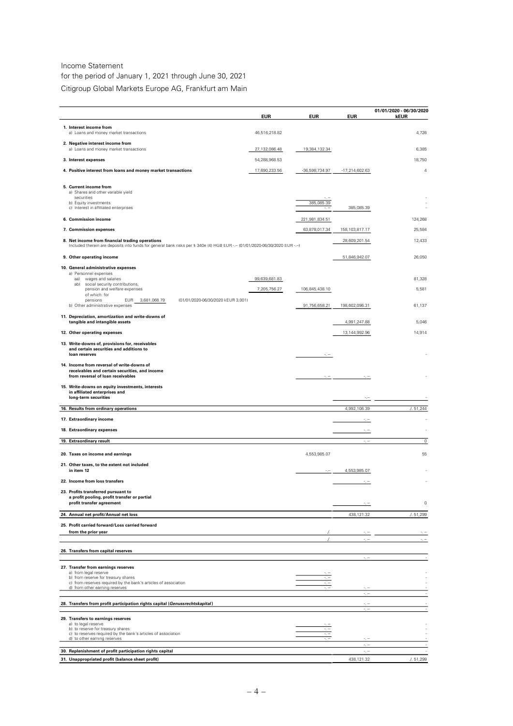#### Income Statement

for the period of January 1, 2021 through June 30, 2021 Citigroup Global Markets Europe AG, Frankfurt am Main

|                                                                                                                                                                               | <b>EUR</b>    | EUR            | <b>EUR</b>                   | 01/01/2020 - 06/30/2020<br>kEUR |
|-------------------------------------------------------------------------------------------------------------------------------------------------------------------------------|---------------|----------------|------------------------------|---------------------------------|
| 1. Interest income from                                                                                                                                                       |               |                |                              |                                 |
| a) Loans and money market transactions                                                                                                                                        | 46,516,218.82 |                |                              | 4,726                           |
| 2. Negative interest income from<br>a) Loans and money market transactions                                                                                                    | 27,132,086.48 | 19,384,132.34  |                              | 6,385                           |
| 3. Interest expenses                                                                                                                                                          | 54,288,968.53 |                |                              | 18,750                          |
| 4. Positive interest from loans and money market transactions                                                                                                                 | 17,690,233.56 | -36,598,734.97 | -17,214,602.63               | 4                               |
| 5. Current income from<br>a) Shares and other variable yield                                                                                                                  |               |                |                              |                                 |
| securities<br>b) Equity investments                                                                                                                                           |               | 385,085.39     |                              |                                 |
| c) Interest in affiliated enterprises                                                                                                                                         |               |                | 385,085.39                   |                                 |
| 6. Commission income                                                                                                                                                          |               | 221,981,834.51 |                              | 124,268                         |
| 7. Commission expenses                                                                                                                                                        |               | 63,878,017.34  | 158, 103, 817. 17            | 25,584                          |
| 8. Net income from financial trading operations<br>Included therein are deposits into funds for general bank risks per § 340e (4) HGB EUR -.- (01/01/2020-06/30/2020 EUR -.-) |               |                | 28,609,201.54                | 12,433                          |
| 9. Other operating income                                                                                                                                                     |               |                | 51,846,942.07                | 26,050                          |
| 10. General administrative expenses                                                                                                                                           |               |                |                              |                                 |
| a) Personnel expenses<br>aa) wages and salaries                                                                                                                               | 99,639,681.83 |                |                              | 81,328                          |
| ab) social security contributions,<br>pension and welfare expenses                                                                                                            | 7,205,756.27  | 106,845,438.10 |                              | 5,581                           |
| of which: for<br>pensions                                                                                                                                                     |               |                |                              |                                 |
| (01/01/2020-06/30/2020 kEUR 3,001)<br><b>EUR</b><br>3,681,068.79<br>b) Other administrative expenses                                                                          |               | 91,756,658.21  | 198,602,096.31               | 61,137                          |
| 11. Depreciation, amortization and write-downs of<br>tangible and intangible assets                                                                                           |               |                | 4,991,247.88                 | 5,046                           |
| 12. Other operating expenses                                                                                                                                                  |               |                | 13,144,992.96                | 14,914                          |
| 13. Write-downs of, provisions for, receivables                                                                                                                               |               |                |                              |                                 |
| and certain securities and additions to<br>loan reserves                                                                                                                      |               |                |                              |                                 |
| 14. Income from reversal of write-downs of<br>receivables and certain securities, and income<br>from reversal of loan receivables                                             |               |                |                              |                                 |
| 15. Write-downs on equity investments, interests<br>in affiliated enterprises and<br>long-term securities                                                                     |               |                |                              |                                 |
| 16. Results from ordinary operations                                                                                                                                          |               |                | 4,992,106.39                 | 1.51,244                        |
| 17. Extraordinary income                                                                                                                                                      |               |                |                              |                                 |
| 18. Extraordinary expenses                                                                                                                                                    |               |                | -, --                        |                                 |
| 19. Extraordinary result                                                                                                                                                      |               |                | $\sigma_{\rm c} \rightarrow$ | 0                               |
|                                                                                                                                                                               |               |                |                              |                                 |
| 20. Taxes on income and earnings<br>21. Other taxes, to the extent not included                                                                                               |               | 4,553,985.07   |                              | 55                              |
| in item 12                                                                                                                                                                    |               |                | 4,553,985.07                 |                                 |
| 22. Income from loss transfers                                                                                                                                                |               |                |                              |                                 |
| 23. Profits transferred pursuant to<br>a profit pooling, profit transfer or partial<br>profit transfer agreement                                                              |               |                | ÷., ÷                        | $\mathbb O$                     |
| 24. Annual net profit/Annual net loss                                                                                                                                         |               |                | 438,121.32                   | /. 51,299                       |
| 25. Profit carried forward/Loss carried forward                                                                                                                               |               |                |                              |                                 |
| from the prior year                                                                                                                                                           |               |                |                              |                                 |
|                                                                                                                                                                               |               | $\cdot$ /.     | $\epsilon_{\rm c} =$         | $\sigma_{\rm c}$ or             |
| 26. Transfers from capital reserves                                                                                                                                           |               |                | سي د                         |                                 |
| 27. Transfer from earnings reserves<br>a) from legal reserve<br>b) from reserve for treasury shares                                                                           |               |                |                              |                                 |
| c) from reserves required by the bank's articles of association<br>d) from other earning reserves                                                                             |               |                |                              |                                 |
| 28. Transfers from profit participation rights capital (Genussrechtskapital)                                                                                                  |               |                | $\sim$                       |                                 |
|                                                                                                                                                                               |               |                | $\sigma_{\rm e}$ and         |                                 |
| 29. Transfers to earnings reserves<br>a) to legal reserve                                                                                                                     |               |                |                              |                                 |
| b) to reserve for treasury shares<br>c) to reserves required by the bank's articles of association                                                                            |               |                |                              |                                 |
| d) to other earning reserves                                                                                                                                                  |               |                | $\sim$                       |                                 |
| 30. Replenishment of profit participation rights capital                                                                                                                      |               |                |                              |                                 |
| 31. Unappropriated profit (balance sheet profit)                                                                                                                              |               |                | 438,121.32                   | . / 0.51,299                    |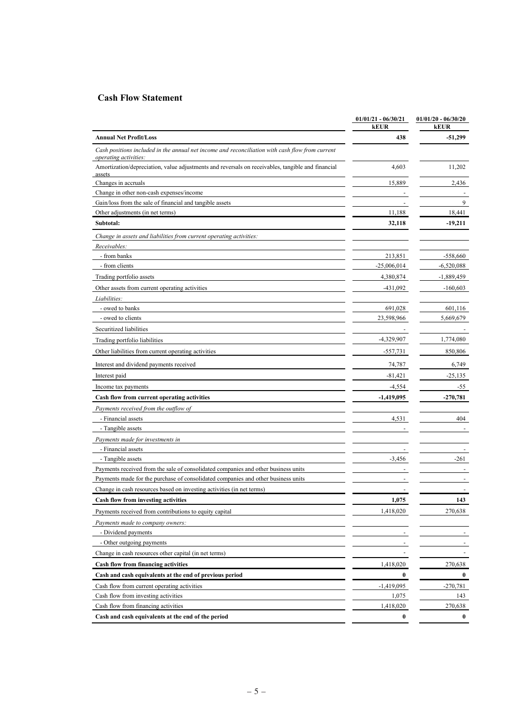# **Cash Flow Statement**

|                                                                                                                          | $01/01/21 - 06/30/21$<br>kEUR | $01/01/20 - 06/30/20$<br>kEUR |
|--------------------------------------------------------------------------------------------------------------------------|-------------------------------|-------------------------------|
| <b>Annual Net Profit/Loss</b>                                                                                            | 438                           | $-51,299$                     |
| Cash positions included in the annual net income and reconciliation with cash flow from current<br>operating activities: |                               |                               |
| Amortization/depreciation, value adjustments and reversals on receivables, tangible and financial<br>assets              | 4,603                         | 11,202                        |
| Changes in accruals                                                                                                      | 15,889                        | 2,436                         |
| Change in other non-cash expenses/income                                                                                 |                               |                               |
| Gain/loss from the sale of financial and tangible assets                                                                 |                               | 9                             |
| Other adjustments (in net terms)                                                                                         | 11,188                        | 18,441                        |
| Subtotal:                                                                                                                | 32,118                        | $-19,211$                     |
| Change in assets and liabilities from current operating activities:                                                      |                               |                               |
| Receivables:                                                                                                             |                               |                               |
| - from banks                                                                                                             | 213,851                       | $-558,660$                    |
| - from clients                                                                                                           | $-25,006,014$                 | $-6,520,088$                  |
| Trading portfolio assets                                                                                                 | 4,380,874                     | $-1,889,459$                  |
| Other assets from current operating activities                                                                           | $-431,092$                    | $-160,603$                    |
| Liabilities:                                                                                                             |                               |                               |
| - owed to banks                                                                                                          | 691,028                       | 601,116                       |
| - owed to clients                                                                                                        | 23,598,966                    | 5,669,679                     |
| Securitized liabilities                                                                                                  |                               |                               |
| Trading portfolio liabilities                                                                                            | $-4,329,907$                  | 1,774,080                     |
| Other liabilities from current operating activities                                                                      | $-557,731$                    | 850,806                       |
|                                                                                                                          |                               | 6,749                         |
| Interest and dividend payments received<br>Interest paid                                                                 | 74,787<br>$-81,421$           | $-25,135$                     |
|                                                                                                                          | $-4,554$                      | -55                           |
| Income tax payments<br>Cash flow from current operating activities                                                       | $-1,419,095$                  | -270,781                      |
| Payments received from the outflow of                                                                                    |                               |                               |
| - Financial assets                                                                                                       | 4,531                         | 404                           |
| - Tangible assets                                                                                                        |                               |                               |
| Payments made for investments in                                                                                         |                               |                               |
| - Financial assets                                                                                                       |                               |                               |
| - Tangible assets                                                                                                        | $-3,456$                      | $-261$                        |
| Payments received from the sale of consolidated companies and other business units                                       |                               |                               |
| Payments made for the purchase of consolidated companies and other business units                                        |                               |                               |
| Change in cash resources based on investing activities (in net terms)                                                    |                               |                               |
| Cash flow from investing activities                                                                                      | 1,075                         | 143                           |
| Payments received from contributions to equity capital                                                                   | 1,418,020                     | 270,638                       |
| Payments made to company owners:                                                                                         |                               |                               |
| - Dividend payments                                                                                                      |                               |                               |
| - Other outgoing payments                                                                                                |                               |                               |
| Change in cash resources other capital (in net terms)                                                                    |                               |                               |
| Cash flow from financing activities                                                                                      | 1,418,020                     | 270,638                       |
| Cash and cash equivalents at the end of previous period                                                                  | $\bf{0}$                      | $\bf{0}$                      |
| Cash flow from current operating activities                                                                              | $-1,419,095$                  | $-270,781$                    |
| Cash flow from investing activities                                                                                      | 1,075                         | 143                           |
| Cash flow from financing activities                                                                                      | 1,418,020                     | 270,638                       |
| Cash and cash equivalents at the end of the period                                                                       | $\boldsymbol{0}$              | $\bf{0}$                      |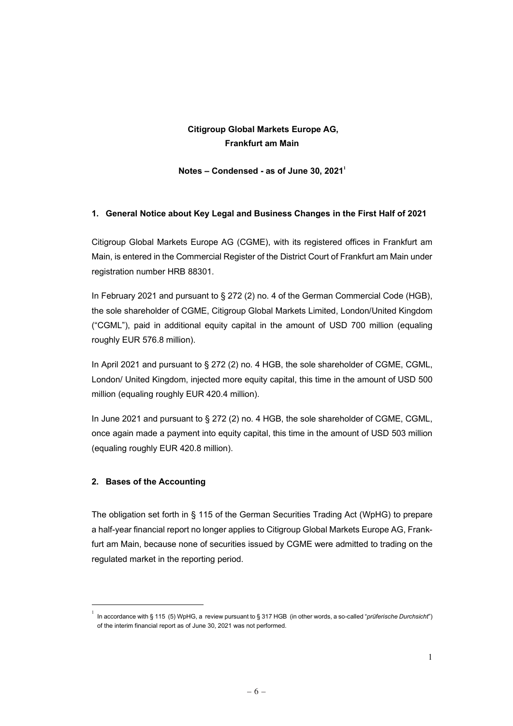# **Citigroup Global Markets Europe AG, Frankfurt am Main**

 $$ 

## **1. General Notice about Key Legal and Business Changes in the First Half of 2021**

Citigroup Global Markets Europe AG (CGME), with its registered offices in Frankfurt am Main, is entered in the Commercial Register of the District Court of Frankfurt am Main under registration number HRB 88301.

In February 2021 and pursuant to § 272 (2) no. 4 of the German Commercial Code (HGB), the sole shareholder of CGME, Citigroup Global Markets Limited, London/United Kingdom ("CGML"), paid in additional equity capital in the amount of USD 700 million (equaling roughly EUR 576.8 million).

In April 2021 and pursuant to § 272 (2) no. 4 HGB, the sole shareholder of CGME, CGML, London/ United Kingdom, injected more equity capital, this time in the amount of USD 500 million (equaling roughly EUR 420.4 million).

In June 2021 and pursuant to § 272 (2) no. 4 HGB, the sole shareholder of CGME, CGML, once again made a payment into equity capital, this time in the amount of USD 503 million (equaling roughly EUR 420.8 million).

## **2. Bases of the Accounting**

The obligation set forth in § 115 of the German Securities Trading Act (WpHG) to prepare a half-year financial report no longer applies to Citigroup Global Markets Europe AG, Frankfurt am Main, because none of securities issued by CGME were admitted to trading on the regulated market in the reporting period.

 $^1$  In accordance with § 115 (5) WpHG, a review pursuant to § 317 HGB (in other words, a so-called "*prüferische Durchsicht*") of the interim financial report as of June 30, 2021 was not performed.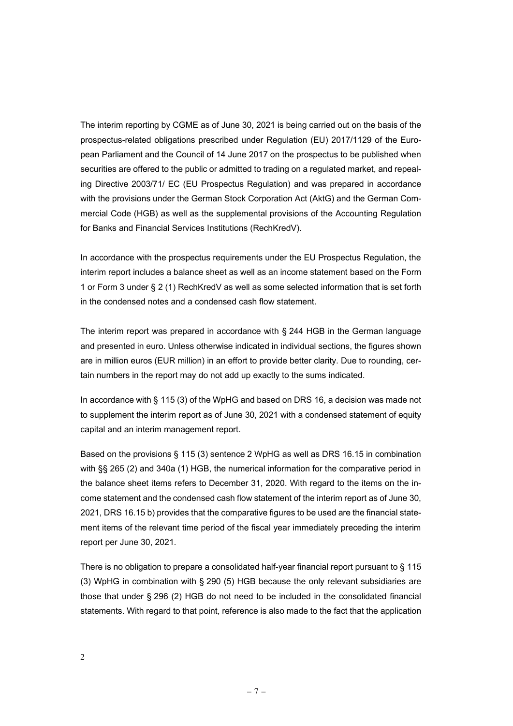The interim reporting by CGME as of June 30, 2021 is being carried out on the basis of the prospectus-related obligations prescribed under Regulation (EU) 2017/1129 of the European Parliament and the Council of 14 June 2017 on the prospectus to be published when securities are offered to the public or admitted to trading on a regulated market, and repealing Directive 2003/71/ EC (EU Prospectus Regulation) and was prepared in accordance with the provisions under the German Stock Corporation Act (AktG) and the German Commercial Code (HGB) as well as the supplemental provisions of the Accounting Regulation for Banks and Financial Services Institutions (RechKredV).

In accordance with the prospectus requirements under the EU Prospectus Regulation, the interim report includes a balance sheet as well as an income statement based on the Form 1 or Form 3 under § 2 (1) RechKredV as well as some selected information that is set forth in the condensed notes and a condensed cash flow statement.

The interim report was prepared in accordance with § 244 HGB in the German language and presented in euro. Unless otherwise indicated in individual sections, the figures shown are in million euros (EUR million) in an effort to provide better clarity. Due to rounding, certain numbers in the report may do not add up exactly to the sums indicated.

In accordance with § 115 (3) of the WpHG and based on DRS 16, a decision was made not to supplement the interim report as of June 30, 2021 with a condensed statement of equity capital and an interim management report.

Based on the provisions § 115 (3) sentence 2 WpHG as well as DRS 16.15 in combination with §§ 265 (2) and 340a (1) HGB, the numerical information for the comparative period in the balance sheet items refers to December 31, 2020. With regard to the items on the income statement and the condensed cash flow statement of the interim report as of June 30, 2021, DRS 16.15 b) provides that the comparative figures to be used are the financial statement items of the relevant time period of the fiscal year immediately preceding the interim report per June 30, 2021.

There is no obligation to prepare a consolidated half-year financial report pursuant to § 115 (3) WpHG in combination with § 290 (5) HGB because the only relevant subsidiaries are those that under § 296 (2) HGB do not need to be included in the consolidated financial statements. With regard to that point, reference is also made to the fact that the application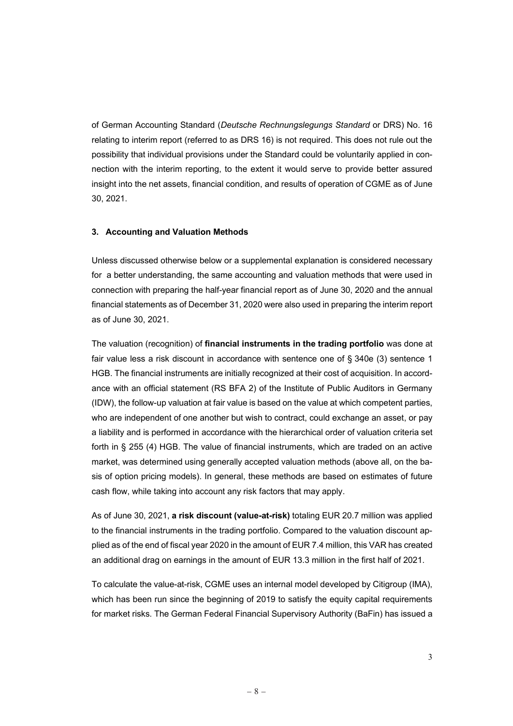of German Accounting Standard (*Deutsche Rechnungslegungs Standard* or DRS) No. 16 relating to interim report (referred to as DRS 16) is not required. This does not rule out the possibility that individual provisions under the Standard could be voluntarily applied in connection with the interim reporting, to the extent it would serve to provide better assured insight into the net assets, financial condition, and results of operation of CGME as of June 30, 2021.

#### **3. Accounting and Valuation Methods**

Unless discussed otherwise below or a supplemental explanation is considered necessary for a better understanding, the same accounting and valuation methods that were used in connection with preparing the half-year financial report as of June 30, 2020 and the annual financial statements as of December 31, 2020 were also used in preparing the interim report as of June 30, 2021.

The valuation (recognition) of **financial instruments in the trading portfolio** was done at fair value less a risk discount in accordance with sentence one of § 340e (3) sentence 1 HGB. The financial instruments are initially recognized at their cost of acquisition. In accordance with an official statement (RS BFA 2) of the Institute of Public Auditors in Germany (IDW), the follow-up valuation at fair value is based on the value at which competent parties, who are independent of one another but wish to contract, could exchange an asset, or pay a liability and is performed in accordance with the hierarchical order of valuation criteria set forth in § 255 (4) HGB. The value of financial instruments, which are traded on an active market, was determined using generally accepted valuation methods (above all, on the basis of option pricing models). In general, these methods are based on estimates of future cash flow, while taking into account any risk factors that may apply.

As of June 30, 2021, **a risk discount (value-at-risk)** totaling EUR 20.7 million was applied to the financial instruments in the trading portfolio. Compared to the valuation discount applied as of the end of fiscal year 2020 in the amount of EUR 7.4 million, this VAR has created an additional drag on earnings in the amount of EUR 13.3 million in the first half of 2021.

To calculate the value-at-risk, CGME uses an internal model developed by Citigroup (IMA), which has been run since the beginning of 2019 to satisfy the equity capital requirements for market risks. The German Federal Financial Supervisory Authority (BaFin) has issued a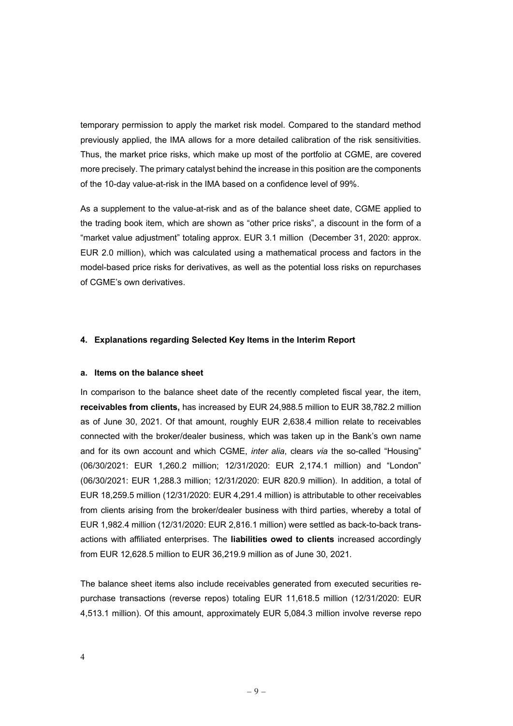temporary permission to apply the market risk model. Compared to the standard method previously applied, the IMA allows for a more detailed calibration of the risk sensitivities. Thus, the market price risks, which make up most of the portfolio at CGME, are covered more precisely. The primary catalyst behind the increase in this position are the components of the 10-day value-at-risk in the IMA based on a confidence level of 99%.

As a supplement to the value-at-risk and as of the balance sheet date, CGME applied to the trading book item, which are shown as "other price risks", a discount in the form of a "market value adjustment" totaling approx. EUR 3.1 million (December 31, 2020: approx. EUR 2.0 million), which was calculated using a mathematical process and factors in the model-based price risks for derivatives, as well as the potential loss risks on repurchases of CGME's own derivatives.

#### **4. Explanations regarding Selected Key Items in the Interim Report**

#### **a. Items on the balance sheet**

In comparison to the balance sheet date of the recently completed fiscal year, the item, **receivables from clients,** has increased by EUR 24,988.5 million to EUR 38,782.2 million as of June 30, 2021. Of that amount, roughly EUR 2,638.4 million relate to receivables connected with the broker/dealer business, which was taken up in the Bank's own name and for its own account and which CGME, *inter alia*, clears *via* the so-called "Housing" (06/30/2021: EUR 1,260.2 million; 12/31/2020: EUR 2,174.1 million) and "London" (06/30/2021: EUR 1,288.3 million; 12/31/2020: EUR 820.9 million). In addition, a total of EUR 18,259.5 million (12/31/2020: EUR 4,291.4 million) is attributable to other receivables from clients arising from the broker/dealer business with third parties, whereby a total of EUR 1,982.4 million (12/31/2020: EUR 2,816.1 million) were settled as back-to-back transactions with affiliated enterprises. The **liabilities owed to clients** increased accordingly from EUR 12,628.5 million to EUR 36,219.9 million as of June 30, 2021.

The balance sheet items also include receivables generated from executed securities repurchase transactions (reverse repos) totaling EUR 11,618.5 million (12/31/2020: EUR 4,513.1 million). Of this amount, approximately EUR 5,084.3 million involve reverse repo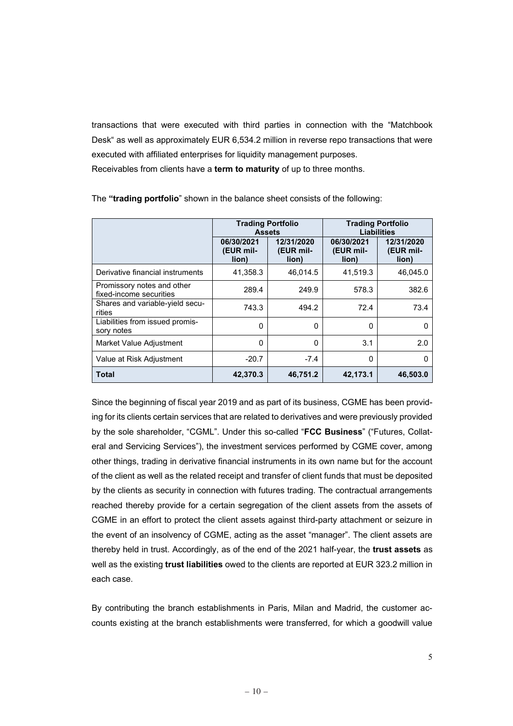transactions that were executed with third parties in connection with the "Matchbook Desk" as well as approximately EUR 6,534.2 million in reverse repo transactions that were executed with affiliated enterprises for liquidity management purposes. Receivables from clients have a **term to maturity** of up to three months.

|                                                       | <b>Trading Portfolio</b><br><b>Assets</b> |                                  | <b>Trading Portfolio</b><br>Liabilities |                                  |  |
|-------------------------------------------------------|-------------------------------------------|----------------------------------|-----------------------------------------|----------------------------------|--|
|                                                       | 06/30/2021<br>(EUR mil-<br>lion)          | 12/31/2020<br>(EUR mil-<br>lion) | 06/30/2021<br>(EUR mil-<br>lion)        | 12/31/2020<br>(EUR mil-<br>lion) |  |
| Derivative financial instruments                      | 41,358.3                                  | 46,014.5                         | 41,519.3                                | 46,045.0                         |  |
| Promissory notes and other<br>fixed-income securities | 289.4                                     | 249.9                            | 578.3                                   | 382.6                            |  |
| Shares and variable-yield secu-<br>rities             | 743.3                                     | 494.2                            | 72.4                                    | 73.4                             |  |
| Liabilities from issued promis-<br>sory notes         | 0                                         | 0                                | 0                                       | O                                |  |
| Market Value Adjustment                               | $\Omega$                                  | 0                                | 3.1                                     | 2.0                              |  |
| Value at Risk Adjustment                              | $-20.7$                                   | $-7.4$                           | $\Omega$                                | O                                |  |
| Total                                                 | 42,370.3                                  | 46,751.2                         | 42,173.1                                | 46,503.0                         |  |

The **"trading portfolio**" shown in the balance sheet consists of the following:

Since the beginning of fiscal year 2019 and as part of its business, CGME has been providing for its clients certain services that are related to derivatives and were previously provided by the sole shareholder, "CGML". Under this so-called "**FCC Business**" ("Futures, Collateral and Servicing Services"), the investment services performed by CGME cover, among other things, trading in derivative financial instruments in its own name but for the account of the client as well as the related receipt and transfer of client funds that must be deposited by the clients as security in connection with futures trading. The contractual arrangements reached thereby provide for a certain segregation of the client assets from the assets of CGME in an effort to protect the client assets against third-party attachment or seizure in the event of an insolvency of CGME, acting as the asset "manager". The client assets are thereby held in trust. Accordingly, as of the end of the 2021 half-year, the **trust assets** as well as the existing **trust liabilities** owed to the clients are reported at EUR 323.2 million in each case.

By contributing the branch establishments in Paris, Milan and Madrid, the customer accounts existing at the branch establishments were transferred, for which a goodwill value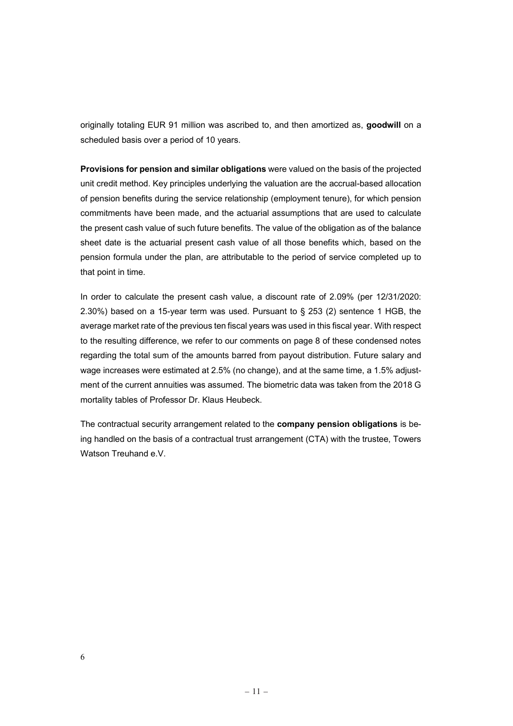originally totaling EUR 91 million was ascribed to, and then amortized as, **goodwill** on a scheduled basis over a period of 10 years.

**Provisions for pension and similar obligations** were valued on the basis of the projected unit credit method. Key principles underlying the valuation are the accrual-based allocation of pension benefits during the service relationship (employment tenure), for which pension commitments have been made, and the actuarial assumptions that are used to calculate the present cash value of such future benefits. The value of the obligation as of the balance sheet date is the actuarial present cash value of all those benefits which, based on the pension formula under the plan, are attributable to the period of service completed up to that point in time.

In order to calculate the present cash value, a discount rate of 2.09% (per 12/31/2020: 2.30%) based on a 15-year term was used. Pursuant to § 253 (2) sentence 1 HGB, the average market rate of the previous ten fiscal years was used in this fiscal year. With respect to the resulting difference, we refer to our comments on page 8 of these condensed notes regarding the total sum of the amounts barred from payout distribution. Future salary and wage increases were estimated at 2.5% (no change), and at the same time, a 1.5% adjustment of the current annuities was assumed. The biometric data was taken from the 2018 G mortality tables of Professor Dr. Klaus Heubeck.

The contractual security arrangement related to the **company pension obligations** is being handled on the basis of a contractual trust arrangement (CTA) with the trustee, Towers Watson Treuhand e.V.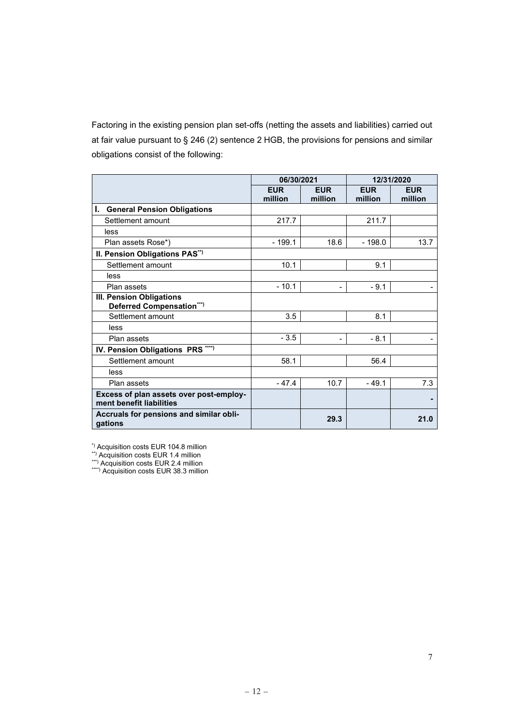Factoring in the existing pension plan set-offs (netting the assets and liabilities) carried out at fair value pursuant to § 246 (2) sentence 2 HGB, the provisions for pensions and similar obligations consist of the following:

|                                                                     | 06/30/2021 |            |          | 12/31/2020 |  |
|---------------------------------------------------------------------|------------|------------|----------|------------|--|
|                                                                     | <b>EUR</b> | <b>EUR</b> |          | <b>EUR</b> |  |
|                                                                     | million    | million    | million  | million    |  |
| ı.<br><b>General Pension Obligations</b>                            |            |            |          |            |  |
| Settlement amount                                                   | 217.7      |            | 211.7    |            |  |
| less                                                                |            |            |          |            |  |
| Plan assets Rose*)                                                  | $-199.1$   | 18.6       | $-198.0$ | 13.7       |  |
| II. Pension Obligations PAS**)                                      |            |            |          |            |  |
| Settlement amount                                                   | 10.1       |            | 9.1      |            |  |
| less                                                                |            |            |          |            |  |
| Plan assets                                                         | $-10.1$    | -          | $-9.1$   |            |  |
| <b>III. Pension Obligations</b>                                     |            |            |          |            |  |
| Deferred Compensation***)                                           |            |            |          |            |  |
| Settlement amount                                                   | 3.5        |            | 8.1      |            |  |
| less                                                                |            |            |          |            |  |
| Plan assets                                                         | $-3.5$     | Ξ.         | $-8.1$   |            |  |
| IV. Pension Obligations PRS ****)                                   |            |            |          |            |  |
| Settlement amount                                                   | 58.1       |            | 56.4     |            |  |
| less                                                                |            |            |          |            |  |
| Plan assets                                                         | $-47.4$    | 10.7       | $-49.1$  | 7.3        |  |
| Excess of plan assets over post-employ-<br>ment benefit liabilities |            |            |          |            |  |
| Accruals for pensions and similar obli-<br>gations                  |            | 29.3       |          | 21.0       |  |

\*) Acquisition costs EUR 104.8 million<br>\*\*) Acquisition costs EUR 1.4 million<br>\*\*\*) Acquisition costs EUR 2.4 million<br>\*\*\*\*) Acquisition costs EUR 38.3 million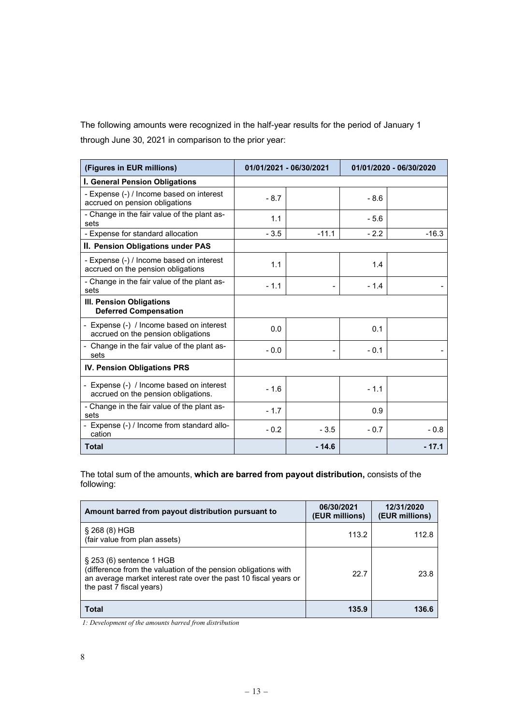The following amounts were recognized in the half-year results for the period of January 1 through June 30, 2021 in comparison to the prior year:

| (Figures in EUR millions)                                                       | 01/01/2021 - 06/30/2021 |         | 01/01/2020 - 06/30/2020 |         |
|---------------------------------------------------------------------------------|-------------------------|---------|-------------------------|---------|
| I. General Pension Obligations                                                  |                         |         |                         |         |
| - Expense (-) / Income based on interest<br>accrued on pension obligations      | $-8.7$                  |         | $-8.6$                  |         |
| - Change in the fair value of the plant as-<br>sets                             | 1.1                     |         | $-5.6$                  |         |
| - Expense for standard allocation                                               | $-3.5$                  | $-11.1$ | $-2.2$                  | $-16.3$ |
| II. Pension Obligations under PAS                                               |                         |         |                         |         |
| - Expense (-) / Income based on interest<br>accrued on the pension obligations  | 1.1                     |         | 1.4                     |         |
| - Change in the fair value of the plant as-<br>sets                             | $-1.1$                  |         | $-1.4$                  |         |
| III. Pension Obligations<br><b>Deferred Compensation</b>                        |                         |         |                         |         |
| - Expense (-) / Income based on interest<br>accrued on the pension obligations  | 0.0                     |         | 0.1                     |         |
| - Change in the fair value of the plant as-<br>sets                             | $-0.0$                  |         | $-0.1$                  |         |
| IV. Pension Obligations PRS                                                     |                         |         |                         |         |
| - Expense (-) / Income based on interest<br>accrued on the pension obligations. | $-1.6$                  |         | $-1.1$                  |         |
| - Change in the fair value of the plant as-<br>sets                             | $-1.7$                  |         | 0.9                     |         |
| - Expense (-) / Income from standard allo-<br>cation                            | $-0.2$                  | $-3.5$  | $-0.7$                  | $-0.8$  |
| Total                                                                           |                         | $-14.6$ |                         | - 17.1  |

The total sum of the amounts, **which are barred from payout distribution,** consists of the following:

| Amount barred from payout distribution pursuant to                                                                                                                                            | 06/30/2021<br>(EUR millions) | 12/31/2020<br>(EUR millions) |
|-----------------------------------------------------------------------------------------------------------------------------------------------------------------------------------------------|------------------------------|------------------------------|
| $\S 268(8)$ HGB<br>(fair value from plan assets)                                                                                                                                              | 113.2                        | 112.8                        |
| $\S$ 253 (6) sentence 1 HGB<br>(difference from the valuation of the pension obligations with<br>an average market interest rate over the past 10 fiscal years or<br>the past 7 fiscal years) | 22.7                         | 23.8                         |
| <b>Total</b>                                                                                                                                                                                  | 135.9                        | 136.6                        |

*1: Development of the amounts barred from distribution*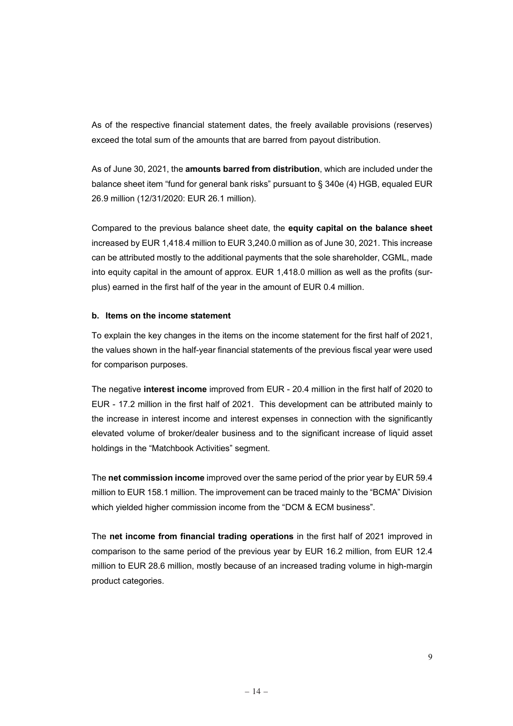As of the respective financial statement dates, the freely available provisions (reserves) exceed the total sum of the amounts that are barred from payout distribution.

As of June 30, 2021, the **amounts barred from distribution**, which are included under the balance sheet item "fund for general bank risks" pursuant to § 340e (4) HGB, equaled EUR 26.9 million (12/31/2020: EUR 26.1 million).

Compared to the previous balance sheet date, the **equity capital on the balance sheet** increased by EUR 1,418.4 million to EUR 3,240.0 million as of June 30, 2021. This increase can be attributed mostly to the additional payments that the sole shareholder, CGML, made into equity capital in the amount of approx. EUR 1,418.0 million as well as the profits (surplus) earned in the first half of the year in the amount of EUR 0.4 million.

#### **b. Items on the income statement**

To explain the key changes in the items on the income statement for the first half of 2021, the values shown in the half-year financial statements of the previous fiscal year were used for comparison purposes.

The negative **interest income** improved from EUR - 20.4 million in the first half of 2020 to EUR - 17.2 million in the first half of 2021. This development can be attributed mainly to the increase in interest income and interest expenses in connection with the significantly elevated volume of broker/dealer business and to the significant increase of liquid asset holdings in the "Matchbook Activities" segment.

The **net commission income** improved over the same period of the prior year by EUR 59.4 million to EUR 158.1 million. The improvement can be traced mainly to the "BCMA" Division which yielded higher commission income from the "DCM & ECM business".

The **net income from financial trading operations** in the first half of 2021 improved in comparison to the same period of the previous year by EUR 16.2 million, from EUR 12.4 million to EUR 28.6 million, mostly because of an increased trading volume in high-margin product categories.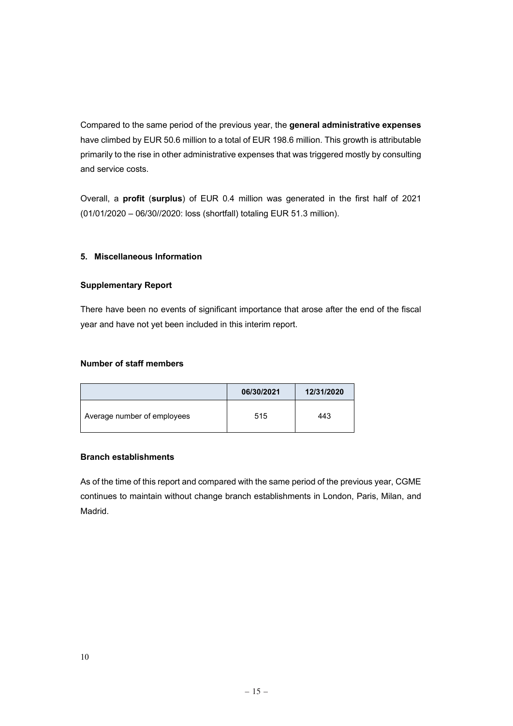Compared to the same period of the previous year, the **general administrative expenses**  have climbed by EUR 50.6 million to a total of EUR 198.6 million. This growth is attributable primarily to the rise in other administrative expenses that was triggered mostly by consulting and service costs.

Overall, a **profit** (**surplus**) of EUR 0.4 million was generated in the first half of 2021 (01/01/2020 – 06/30//2020: loss (shortfall) totaling EUR 51.3 million).

# **5. Miscellaneous Information**

## **Supplementary Report**

There have been no events of significant importance that arose after the end of the fiscal year and have not yet been included in this interim report.

# **Number of staff members**

|                             | 06/30/2021 | 12/31/2020 |
|-----------------------------|------------|------------|
| Average number of employees | 515        | 443        |

## **Branch establishments**

As of the time of this report and compared with the same period of the previous year, CGME continues to maintain without change branch establishments in London, Paris, Milan, and Madrid.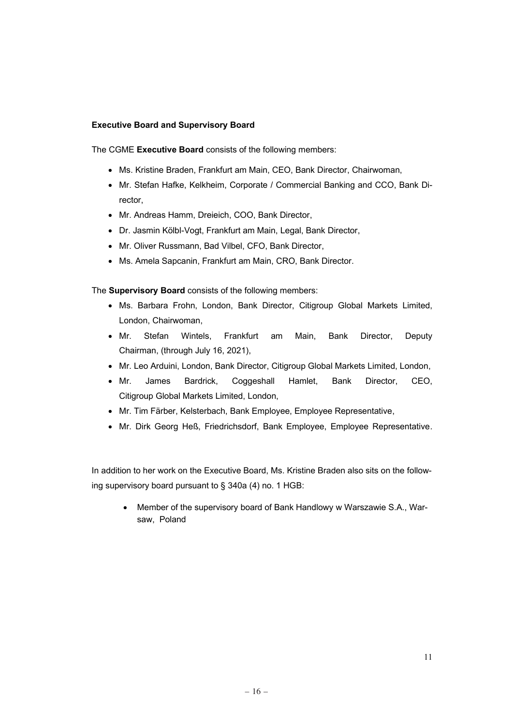#### **Executive Board and Supervisory Board**

The CGME **Executive Board** consists of the following members:

- Ms. Kristine Braden, Frankfurt am Main, CEO, Bank Director, Chairwoman,
- Mr. Stefan Hafke, Kelkheim, Corporate / Commercial Banking and CCO, Bank Director,
- Mr. Andreas Hamm, Dreieich, COO, Bank Director,
- Dr. Jasmin Kölbl-Vogt, Frankfurt am Main, Legal, Bank Director,
- Mr. Oliver Russmann, Bad Vilbel, CFO, Bank Director,
- Ms. Amela Sapcanin, Frankfurt am Main, CRO, Bank Director.

The **Supervisory Board** consists of the following members:

- Ms. Barbara Frohn, London, Bank Director, Citigroup Global Markets Limited, London, Chairwoman,
- Mr. Stefan Wintels, Frankfurt am Main, Bank Director, Deputy Chairman, (through July 16, 2021),
- Mr. Leo Arduini, London, Bank Director, Citigroup Global Markets Limited, London,
- Mr. James Bardrick, Coggeshall Hamlet, Bank Director, CEO, Citigroup Global Markets Limited, London,
- Mr. Tim Färber, Kelsterbach, Bank Employee, Employee Representative,
- Mr. Dirk Georg Heß, Friedrichsdorf, Bank Employee, Employee Representative.

In addition to her work on the Executive Board, Ms. Kristine Braden also sits on the following supervisory board pursuant to § 340a (4) no. 1 HGB:

• Member of the supervisory board of Bank Handlowy w Warszawie S.A., Warsaw, Poland